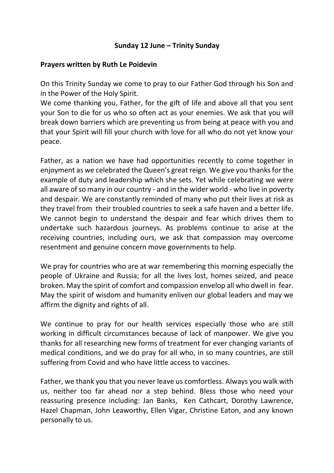## **Sunday 12 June – Trinity Sunday**

## **Prayers written by Ruth Le Poidevin**

On this Trinity Sunday we come to pray to our Father God through his Son and in the Power of the Holy Spirit.

We come thanking you, Father, for the gift of life and above all that you sent your Son to die for us who so often act as your enemies. We ask that you will break down barriers which are preventing us from being at peace with you and that your Spirit will fill your church with love for all who do not yet know your peace.

Father, as a nation we have had opportunities recently to come together in enjoyment as we celebrated the Queen's great reign. We give you thanks for the example of duty and leadership which she sets. Yet while celebrating we were all aware of so many in our country - and in the wider world - who live in poverty and despair. We are constantly reminded of many who put their lives at risk as they travel from their troubled countries to seek a safe haven and a better life. We cannot begin to understand the despair and fear which drives them to undertake such hazardous journeys. As problems continue to arise at the receiving countries, including ours, we ask that compassion may overcome resentment and genuine concern move governments to help.

We pray for countries who are at war remembering this morning especially the people of Ukraine and Russia; for all the lives lost, homes seized, and peace broken. May the spirit of comfort and compassion envelop all who dwell in fear. May the spirit of wisdom and humanity enliven our global leaders and may we affirm the dignity and rights of all.

We continue to pray for our health services especially those who are still working in difficult circumstances because of lack of manpower. We give you thanks for all researching new forms of treatment for ever changing variants of medical conditions, and we do pray for all who, in so many countries, are still suffering from Covid and who have little access to vaccines.

Father, we thank you that you never leave us comfortless. Always you walk with us, neither too far ahead nor a step behind. Bless those who need your reassuring presence including: Jan Banks, Ken Cathcart, Dorothy Lawrence, Hazel Chapman, John Leaworthy, Ellen Vigar, Christine Eaton, and any known personally to us.